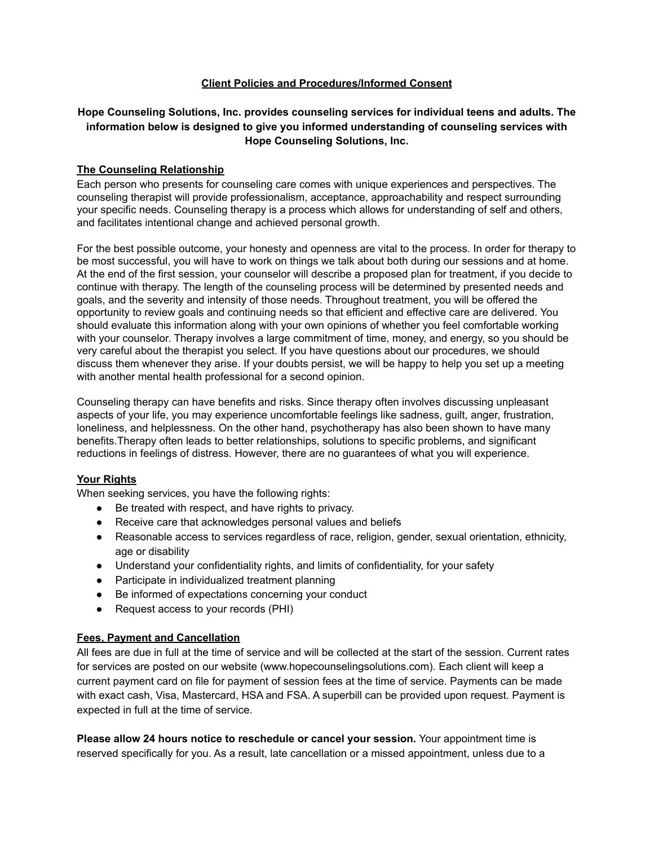# **Client Policies and Procedures/Informed Consent**

# **Hope Counseling Solutions, Inc. provides counseling services for individual teens and adults. The information below is designed to give you informed understanding of counseling services with Hope Counseling Solutions, Inc.**

# **The Counseling Relationship**

Each person who presents for counseling care comes with unique experiences and perspectives. The counseling therapist will provide professionalism, acceptance, approachability and respect surrounding your specific needs. Counseling therapy is a process which allows for understanding of self and others, and facilitates intentional change and achieved personal growth.

For the best possible outcome, your honesty and openness are vital to the process. In order for therapy to be most successful, you will have to work on things we talk about both during our sessions and at home. At the end of the first session, your counselor will describe a proposed plan for treatment, if you decide to continue with therapy. The length of the counseling process will be determined by presented needs and goals, and the severity and intensity of those needs. Throughout treatment, you will be offered the opportunity to review goals and continuing needs so that efficient and effective care are delivered. You should evaluate this information along with your own opinions of whether you feel comfortable working with your counselor. Therapy involves a large commitment of time, money, and energy, so you should be very careful about the therapist you select. If you have questions about our procedures, we should discuss them whenever they arise. If your doubts persist, we will be happy to help you set up a meeting with another mental health professional for a second opinion.

Counseling therapy can have benefits and risks. Since therapy often involves discussing unpleasant aspects of your life, you may experience uncomfortable feelings like sadness, guilt, anger, frustration, loneliness, and helplessness. On the other hand, psychotherapy has also been shown to have many benefits.Therapy often leads to better relationships, solutions to specific problems, and significant reductions in feelings of distress. However, there are no guarantees of what you will experience.

# **Your Rights**

When seeking services, you have the following rights:

- Be treated with respect, and have rights to privacy.
- Receive care that acknowledges personal values and beliefs
- Reasonable access to services regardless of race, religion, gender, sexual orientation, ethnicity, age or disability
- Understand your confidentiality rights, and limits of confidentiality, for your safety
- Participate in individualized treatment planning
- Be informed of expectations concerning your conduct
- Request access to your records (PHI)

# **Fees, Payment and Cancellation**

All fees are due in full at the time of service and will be collected at the start of the session. Current rates for services are posted on our website (www.hopecounselingsolutions.com). Each client will keep a current payment card on file for payment of session fees at the time of service. Payments can be made with exact cash, Visa, Mastercard, HSA and FSA. A superbill can be provided upon request. Payment is expected in full at the time of service.

**Please allow 24 hours notice to reschedule or cancel your session.** Your appointment time is reserved specifically for you. As a result, late cancellation or a missed appointment, unless due to a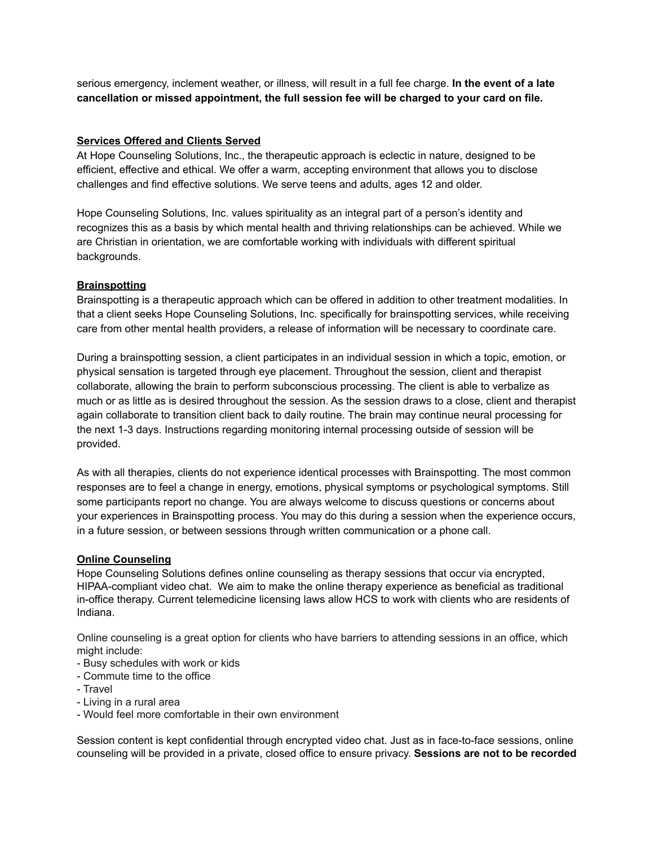serious emergency, inclement weather, or illness, will result in a full fee charge. **In the event of a late cancellation or missed appointment, the full session fee will be charged to your card on file.**

#### **Services Offered and Clients Served**

At Hope Counseling Solutions, Inc., the therapeutic approach is eclectic in nature, designed to be efficient, effective and ethical. We offer a warm, accepting environment that allows you to disclose challenges and find effective solutions. We serve teens and adults, ages 12 and older.

Hope Counseling Solutions, Inc. values spirituality as an integral part of a person's identity and recognizes this as a basis by which mental health and thriving relationships can be achieved. While we are Christian in orientation, we are comfortable working with individuals with different spiritual backgrounds.

# **Brainspotting**

Brainspotting is a therapeutic approach which can be offered in addition to other treatment modalities. In that a client seeks Hope Counseling Solutions, Inc. specifically for brainspotting services, while receiving care from other mental health providers, a release of information will be necessary to coordinate care.

During a brainspotting session, a client participates in an individual session in which a topic, emotion, or physical sensation is targeted through eye placement. Throughout the session, client and therapist collaborate, allowing the brain to perform subconscious processing. The client is able to verbalize as much or as little as is desired throughout the session. As the session draws to a close, client and therapist again collaborate to transition client back to daily routine. The brain may continue neural processing for the next 1-3 days. Instructions regarding monitoring internal processing outside of session will be provided.

As with all therapies, clients do not experience identical processes with Brainspotting. The most common responses are to feel a change in energy, emotions, physical symptoms or psychological symptoms. Still some participants report no change. You are always welcome to discuss questions or concerns about your experiences in Brainspotting process. You may do this during a session when the experience occurs, in a future session, or between sessions through written communication or a phone call.

#### **Online Counseling**

Hope Counseling Solutions defines online counseling as therapy sessions that occur via encrypted, HIPAA-compliant video chat. We aim to make the online therapy experience as beneficial as traditional in-office therapy. Current telemedicine licensing laws allow HCS to work with clients who are residents of Indiana.

Online counseling is a great option for clients who have barriers to attending sessions in an office, which might include:

- Busy schedules with work or kids
- Commute time to the office
- Travel
- Living in a rural area
- Would feel more comfortable in their own environment

Session content is kept confidential through encrypted video chat. Just as in face-to-face sessions, online counseling will be provided in a private, closed office to ensure privacy. **Sessions are not to be recorded**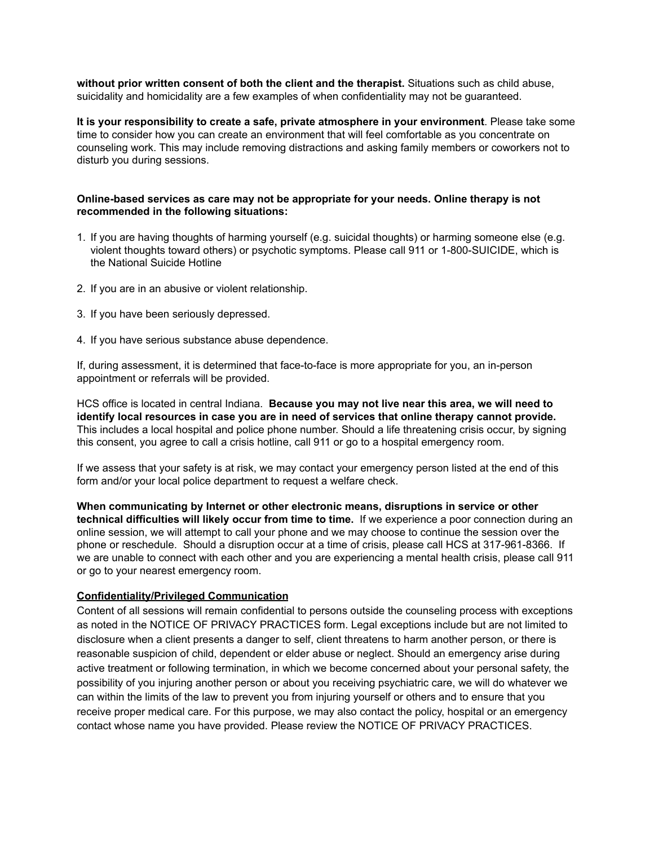**without prior written consent of both the client and the therapist.** Situations such as child abuse, suicidality and homicidality are a few examples of when confidentiality may not be guaranteed.

**It is your responsibility to create a safe, private atmosphere in your environment**. Please take some time to consider how you can create an environment that will feel comfortable as you concentrate on counseling work. This may include removing distractions and asking family members or coworkers not to disturb you during sessions.

#### **Online-based services as care may not be appropriate for your needs. Online therapy is not recommended in the following situations:**

- 1. If you are having thoughts of harming yourself (e.g. suicidal thoughts) or harming someone else (e.g. violent thoughts toward others) or psychotic symptoms. Please call 911 or 1-800-SUICIDE, which is the National Suicide Hotline
- 2. If you are in an abusive or violent relationship.
- 3. If you have been seriously depressed.
- 4. If you have serious substance abuse dependence.

If, during assessment, it is determined that face-to-face is more appropriate for you, an in-person appointment or referrals will be provided.

HCS office is located in central Indiana. **Because you may not live near this area, we will need to identify local resources in case you are in need of services that online therapy cannot provide.** This includes a local hospital and police phone number. Should a life threatening crisis occur, by signing this consent, you agree to call a crisis hotline, call 911 or go to a hospital emergency room.

If we assess that your safety is at risk, we may contact your emergency person listed at the end of this form and/or your local police department to request a welfare check.

**When communicating by Internet or other electronic means, disruptions in service or other technical difficulties will likely occur from time to time.** If we experience a poor connection during an online session, we will attempt to call your phone and we may choose to continue the session over the phone or reschedule. Should a disruption occur at a time of crisis, please call HCS at 317-961-8366. If we are unable to connect with each other and you are experiencing a mental health crisis, please call 911 or go to your nearest emergency room.

# **Confidentiality/Privileged Communication**

Content of all sessions will remain confidential to persons outside the counseling process with exceptions as noted in the NOTICE OF PRIVACY PRACTICES form. Legal exceptions include but are not limited to disclosure when a client presents a danger to self, client threatens to harm another person, or there is reasonable suspicion of child, dependent or elder abuse or neglect. Should an emergency arise during active treatment or following termination, in which we become concerned about your personal safety, the possibility of you injuring another person or about you receiving psychiatric care, we will do whatever we can within the limits of the law to prevent you from injuring yourself or others and to ensure that you receive proper medical care. For this purpose, we may also contact the policy, hospital or an emergency contact whose name you have provided. Please review the NOTICE OF PRIVACY PRACTICES.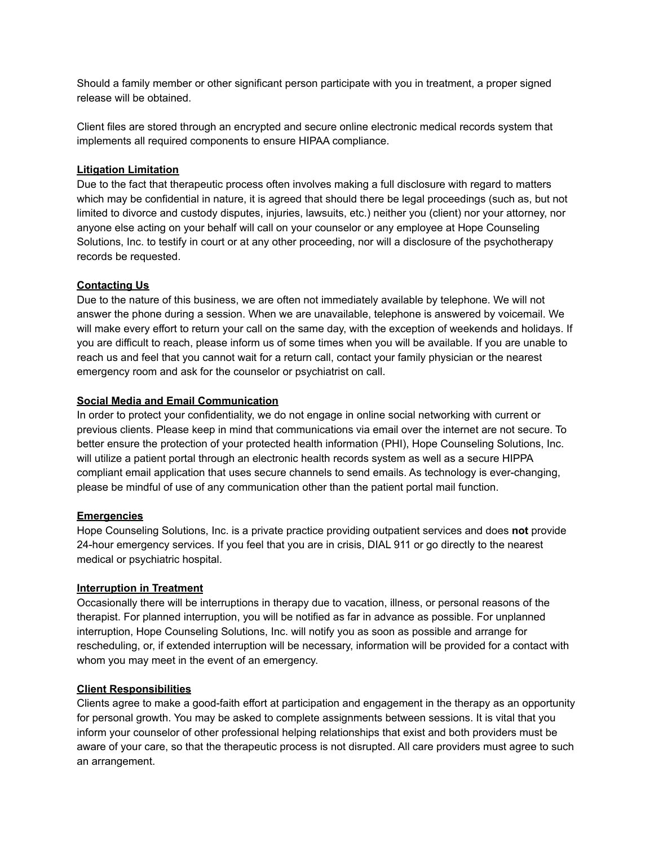Should a family member or other significant person participate with you in treatment, a proper signed release will be obtained.

Client files are stored through an encrypted and secure online electronic medical records system that implements all required components to ensure HIPAA compliance.

# **Litigation Limitation**

Due to the fact that therapeutic process often involves making a full disclosure with regard to matters which may be confidential in nature, it is agreed that should there be legal proceedings (such as, but not limited to divorce and custody disputes, injuries, lawsuits, etc.) neither you (client) nor your attorney, nor anyone else acting on your behalf will call on your counselor or any employee at Hope Counseling Solutions, Inc. to testify in court or at any other proceeding, nor will a disclosure of the psychotherapy records be requested.

# **Contacting Us**

Due to the nature of this business, we are often not immediately available by telephone. We will not answer the phone during a session. When we are unavailable, telephone is answered by voicemail. We will make every effort to return your call on the same day, with the exception of weekends and holidays. If you are difficult to reach, please inform us of some times when you will be available. If you are unable to reach us and feel that you cannot wait for a return call, contact your family physician or the nearest emergency room and ask for the counselor or psychiatrist on call.

#### **Social Media and Email Communication**

In order to protect your confidentiality, we do not engage in online social networking with current or previous clients. Please keep in mind that communications via email over the internet are not secure. To better ensure the protection of your protected health information (PHI), Hope Counseling Solutions, Inc. will utilize a patient portal through an electronic health records system as well as a secure HIPPA compliant email application that uses secure channels to send emails. As technology is ever-changing, please be mindful of use of any communication other than the patient portal mail function.

#### **Emergencies**

Hope Counseling Solutions, Inc. is a private practice providing outpatient services and does **not** provide 24-hour emergency services. If you feel that you are in crisis, DIAL 911 or go directly to the nearest medical or psychiatric hospital.

#### **Interruption in Treatment**

Occasionally there will be interruptions in therapy due to vacation, illness, or personal reasons of the therapist. For planned interruption, you will be notified as far in advance as possible. For unplanned interruption, Hope Counseling Solutions, Inc. will notify you as soon as possible and arrange for rescheduling, or, if extended interruption will be necessary, information will be provided for a contact with whom you may meet in the event of an emergency.

#### **Client Responsibilities**

Clients agree to make a good-faith effort at participation and engagement in the therapy as an opportunity for personal growth. You may be asked to complete assignments between sessions. It is vital that you inform your counselor of other professional helping relationships that exist and both providers must be aware of your care, so that the therapeutic process is not disrupted. All care providers must agree to such an arrangement.